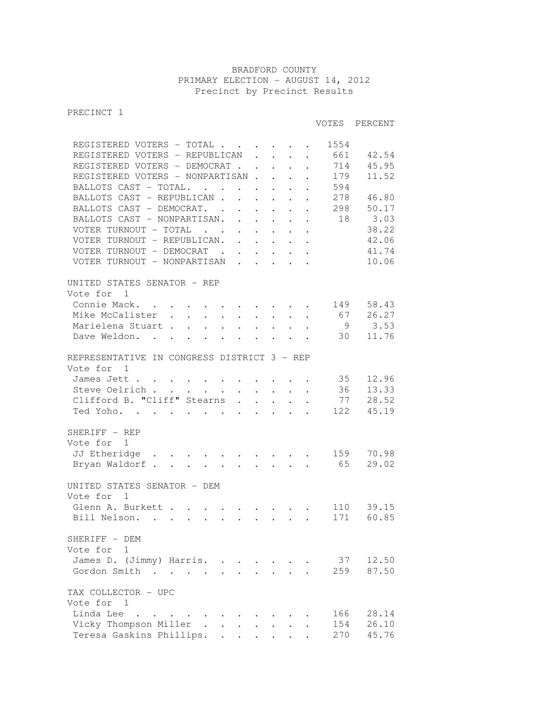## BRADFORD COUNTY PRIMARY ELECTION - AUGUST 14, 2012 Precinct by Precinct Results

PRECINCT 1

## VOTES PERCENT

| REGISTERED VOTERS - TOTAL                                                                                                                                                                                                                     |                                                                                                                       |                     |                                                                                               |                            | 1554 |       |
|-----------------------------------------------------------------------------------------------------------------------------------------------------------------------------------------------------------------------------------------------|-----------------------------------------------------------------------------------------------------------------------|---------------------|-----------------------------------------------------------------------------------------------|----------------------------|------|-------|
| REGISTERED VOTERS - REPUBLICAN                                                                                                                                                                                                                |                                                                                                                       |                     | $\mathbf{1}^{\prime}$ , $\mathbf{1}^{\prime}$ , $\mathbf{1}^{\prime}$ , $\mathbf{1}^{\prime}$ |                            | 661  | 42.54 |
| REGISTERED VOTERS - DEMOCRAT                                                                                                                                                                                                                  |                                                                                                                       |                     |                                                                                               |                            | 714  | 45.95 |
| REGISTERED VOTERS - NONPARTISAN.                                                                                                                                                                                                              |                                                                                                                       |                     | $\mathbf{1}^{\prime}$ , $\mathbf{1}^{\prime}$ , $\mathbf{1}^{\prime}$ , $\mathbf{1}^{\prime}$ |                            | 179  | 11.52 |
| BALLOTS CAST - TOTAL.                                                                                                                                                                                                                         |                                                                                                                       |                     |                                                                                               | $\overline{\mathcal{C}}$ . | 594  |       |
| BALLOTS CAST - REPUBLICAN.                                                                                                                                                                                                                    | $\mathcal{L}^{\text{max}}$                                                                                            | $\mathcal{L}^{(1)}$ |                                                                                               |                            | 278  | 46.80 |
| BALLOTS CAST - DEMOCRAT.                                                                                                                                                                                                                      |                                                                                                                       |                     |                                                                                               |                            | 298  | 50.17 |
| BALLOTS CAST - NONPARTISAN. .                                                                                                                                                                                                                 |                                                                                                                       |                     |                                                                                               |                            | 18   | 3.03  |
|                                                                                                                                                                                                                                               | $\mathcal{A}^{\mathcal{A}}$ , and $\mathcal{A}^{\mathcal{A}}$ , and $\mathcal{A}^{\mathcal{A}}$                       |                     |                                                                                               |                            |      | 38.22 |
| VOTER TURNOUT - TOTAL                                                                                                                                                                                                                         |                                                                                                                       |                     |                                                                                               |                            |      |       |
| VOTER TURNOUT - REPUBLICAN. .                                                                                                                                                                                                                 | $\mathcal{A}^{\mathcal{A}}$ , $\mathcal{A}^{\mathcal{A}}$ , $\mathcal{A}^{\mathcal{A}}$ , $\mathcal{A}^{\mathcal{A}}$ |                     |                                                                                               |                            |      | 42.06 |
| VOTER TURNOUT - DEMOCRAT                                                                                                                                                                                                                      |                                                                                                                       |                     |                                                                                               |                            |      | 41.74 |
| VOTER TURNOUT - NONPARTISAN                                                                                                                                                                                                                   |                                                                                                                       |                     |                                                                                               |                            |      | 10.06 |
| UNITED STATES SENATOR - REP                                                                                                                                                                                                                   |                                                                                                                       |                     |                                                                                               |                            |      |       |
| Vote for 1                                                                                                                                                                                                                                    |                                                                                                                       |                     |                                                                                               |                            |      |       |
|                                                                                                                                                                                                                                               |                                                                                                                       |                     |                                                                                               |                            |      |       |
| Connie Mack.                                                                                                                                                                                                                                  |                                                                                                                       |                     |                                                                                               |                            | 149  | 58.43 |
| Mike McCalister.<br>$\mathcal{L}^{\text{max}}$ , where $\mathcal{L}^{\text{max}}$<br>$\sim$                                                                                                                                                   | $\mathbf{L}$                                                                                                          |                     | $\mathbf{1}^{\text{max}}$                                                                     | $\ddot{\phantom{0}}$       | 67   | 26.27 |
| $\mathbf{1}$ $\mathbf{1}$ $\mathbf{1}$ $\mathbf{1}$ $\mathbf{1}$<br>Marielena Stuart                                                                                                                                                          | $\mathcal{L}^{\text{max}}$ , where $\mathcal{L}^{\text{max}}$                                                         |                     |                                                                                               |                            | 9    | 3.53  |
| Dave Weldon.                                                                                                                                                                                                                                  |                                                                                                                       |                     |                                                                                               |                            | 30   | 11.76 |
| REPRESENTATIVE IN CONGRESS DISTRICT 3 - REP                                                                                                                                                                                                   |                                                                                                                       |                     |                                                                                               |                            |      |       |
| Vote for 1                                                                                                                                                                                                                                    |                                                                                                                       |                     |                                                                                               |                            |      |       |
|                                                                                                                                                                                                                                               |                                                                                                                       |                     |                                                                                               |                            |      |       |
| James Jett                                                                                                                                                                                                                                    |                                                                                                                       |                     |                                                                                               |                            | 35   | 12.96 |
| Steve Oelrich                                                                                                                                                                                                                                 |                                                                                                                       |                     |                                                                                               |                            | 36   | 13.33 |
| Clifford B. "Cliff" Stearns                                                                                                                                                                                                                   |                                                                                                                       |                     |                                                                                               |                            | 77   | 28.52 |
| Ted Yoho.                                                                                                                                                                                                                                     |                                                                                                                       |                     |                                                                                               |                            | 122  | 45.19 |
| SHERIFF - REP                                                                                                                                                                                                                                 |                                                                                                                       |                     |                                                                                               |                            |      |       |
| Vote for 1                                                                                                                                                                                                                                    |                                                                                                                       |                     |                                                                                               |                            |      |       |
| JJ Etheridge                                                                                                                                                                                                                                  |                                                                                                                       |                     |                                                                                               |                            | 159  | 70.98 |
|                                                                                                                                                                                                                                               |                                                                                                                       |                     |                                                                                               |                            |      |       |
| Bryan Waldorf 65                                                                                                                                                                                                                              |                                                                                                                       |                     |                                                                                               |                            |      | 29.02 |
| UNITED STATES SENATOR - DEM                                                                                                                                                                                                                   |                                                                                                                       |                     |                                                                                               |                            |      |       |
| Vote for<br>$\overline{1}$                                                                                                                                                                                                                    |                                                                                                                       |                     |                                                                                               |                            |      |       |
| Glenn A. Burkett                                                                                                                                                                                                                              |                                                                                                                       |                     |                                                                                               |                            | 110  | 39.15 |
| Bill Nelson.<br>. The contract of the contract of the contract of the contract of the contract of the contract of the contract of the contract of the contract of the contract of the contract of the contract of the contract of the contrac |                                                                                                                       |                     |                                                                                               |                            | 171  | 60.85 |
|                                                                                                                                                                                                                                               |                                                                                                                       |                     |                                                                                               |                            |      |       |
| SHERIFF - DEM                                                                                                                                                                                                                                 |                                                                                                                       |                     |                                                                                               |                            |      |       |
| Vote for 1                                                                                                                                                                                                                                    |                                                                                                                       |                     |                                                                                               |                            |      |       |
| James D. (Jimmy) Harris.                                                                                                                                                                                                                      |                                                                                                                       |                     |                                                                                               |                            | 37   | 12.50 |
| $\ddot{\phantom{0}}$<br>Gordon Smith                                                                                                                                                                                                          |                                                                                                                       |                     |                                                                                               |                            |      |       |
|                                                                                                                                                                                                                                               |                                                                                                                       |                     |                                                                                               |                            | 259  | 87.50 |
| TAX COLLECTOR - UPC                                                                                                                                                                                                                           |                                                                                                                       |                     |                                                                                               |                            |      |       |
| Vote for 1                                                                                                                                                                                                                                    |                                                                                                                       |                     |                                                                                               |                            |      |       |
| Linda Lee<br>$\mathbf{r}$ , $\mathbf{r}$ , $\mathbf{r}$ , $\mathbf{r}$ , $\mathbf{r}$                                                                                                                                                         |                                                                                                                       |                     |                                                                                               |                            | 166  | 28.14 |
| Vicky Thompson Miller                                                                                                                                                                                                                         |                                                                                                                       |                     |                                                                                               |                            | 154  | 26.10 |
|                                                                                                                                                                                                                                               |                                                                                                                       |                     |                                                                                               |                            | 270  | 45.76 |
| Teresa Gaskins Phillips.<br>$\ddot{\phantom{0}}$                                                                                                                                                                                              |                                                                                                                       |                     |                                                                                               |                            |      |       |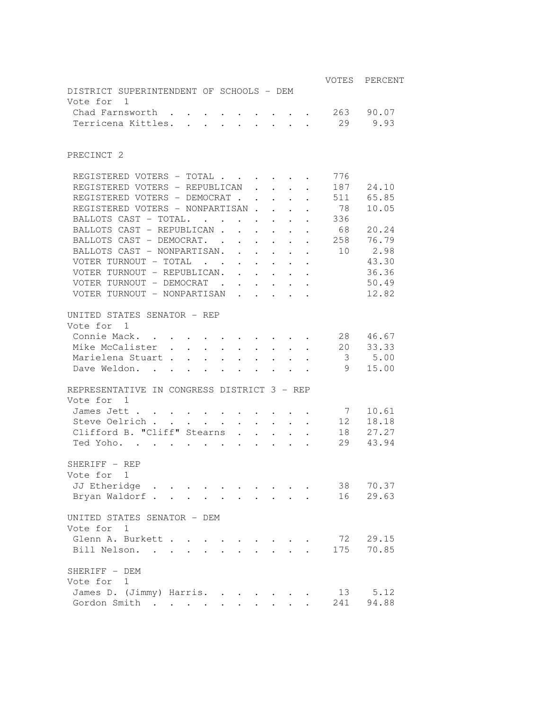|                                                                                                                                                                                                                                                          |                      | VOTES | PERCENT   |
|----------------------------------------------------------------------------------------------------------------------------------------------------------------------------------------------------------------------------------------------------------|----------------------|-------|-----------|
| DISTRICT SUPERINTENDENT OF SCHOOLS - DEM                                                                                                                                                                                                                 |                      |       |           |
| Vote for 1                                                                                                                                                                                                                                               |                      |       |           |
| Chad Farnsworth.<br>$\ddot{\phantom{0}}$                                                                                                                                                                                                                 |                      | 263   | 90.07     |
| Terricena Kittles.<br>$\ddot{\phantom{a}}$<br>$\ddot{\phantom{a}}$                                                                                                                                                                                       |                      | 29    | 9.93      |
|                                                                                                                                                                                                                                                          |                      |       |           |
| PRECINCT <sub>2</sub>                                                                                                                                                                                                                                    |                      |       |           |
| REGISTERED VOTERS - TOTAL                                                                                                                                                                                                                                |                      | 776   |           |
| REGISTERED VOTERS - REPUBLICAN                                                                                                                                                                                                                           |                      | 187   | 24.10     |
| REGISTERED VOTERS - DEMOCRAT.<br>$\ddot{\phantom{a}}$                                                                                                                                                                                                    |                      | 511   | 65.85     |
| REGISTERED VOTERS - NONPARTISAN.                                                                                                                                                                                                                         |                      | 78    | 10.05     |
| BALLOTS CAST - TOTAL.<br>$\ddot{\phantom{0}}$                                                                                                                                                                                                            |                      | 336   |           |
| BALLOTS CAST - REPUBLICAN.<br>$\mathbf{r}$                                                                                                                                                                                                               |                      | 68    | 20.24     |
| BALLOTS CAST - DEMOCRAT. .<br>$\mathcal{L}^{\text{max}}$<br>$\ddot{\phantom{0}}$<br>$\ddot{\phantom{0}}$<br>$\ddot{\phantom{a}}$                                                                                                                         |                      | 258   | 76.79     |
| BALLOTS CAST - NONPARTISAN.<br>$\ddot{\phantom{0}}$<br>$\ddot{\phantom{0}}$<br>$\ddot{\phantom{0}}$                                                                                                                                                      | $\ddot{\phantom{a}}$ | 10    | 2.98      |
| VOTER TURNOUT - TOTAL<br>$\ddot{\phantom{0}}$<br>$\ddot{\phantom{0}}$                                                                                                                                                                                    |                      |       | 43.30     |
| $\ddot{\phantom{0}}$<br>VOTER TURNOUT - REPUBLICAN.                                                                                                                                                                                                      | $\ddot{\phantom{0}}$ |       | 36.36     |
| $\ddot{\phantom{0}}$<br>$\ddot{\phantom{a}}$<br>VOTER TURNOUT - DEMOCRAT .                                                                                                                                                                               |                      |       | 50.49     |
| $\ddot{\phantom{a}}$<br>VOTER TURNOUT - NONPARTISAN                                                                                                                                                                                                      |                      |       | 12.82     |
| $\ddot{\phantom{a}}$                                                                                                                                                                                                                                     | $\ddot{\phantom{0}}$ |       |           |
| UNITED STATES SENATOR - REP                                                                                                                                                                                                                              |                      |       |           |
| Vote for 1                                                                                                                                                                                                                                               |                      |       |           |
| Connie Mack.<br>$\mathcal{A}$ is a set of the set of $\mathcal{A}$ . In the $\mathcal{A}$                                                                                                                                                                |                      | 28    | 46.67     |
| Mike McCalister.<br>$\mathcal{L}^{\text{max}}$ , $\mathcal{L}^{\text{max}}$<br>$\sim$<br>$\ddot{\phantom{0}}$                                                                                                                                            |                      | 20    | 33.33     |
| Marielena Stuart<br>$\sim 10^{-11}$<br>$\mathcal{L}^{\text{max}}$<br>$\mathbf{r}$<br>$\mathbf{L}$                                                                                                                                                        |                      | 3     | 5.00      |
| Dave Weldon.<br>$\ddot{\phantom{0}}$<br>$\ddot{\phantom{0}}$<br>$\bullet$<br>$\ddot{\phantom{a}}$<br>$\ddot{\phantom{a}}$                                                                                                                                |                      | 9     | 15.00     |
| REPRESENTATIVE IN CONGRESS DISTRICT 3 - REP                                                                                                                                                                                                              |                      |       |           |
| Vote for 1                                                                                                                                                                                                                                               |                      |       |           |
| James Jett.<br>$\mathcal{L}^{\mathcal{A}}$ . The contribution of the contribution of the contribution of the contribution of the contribution of the contribution of the contribution of the contribution of the contribution of the contribution of the |                      | 7     | 10.61     |
| Steve Oelrich<br>$\mathbf{1}$ $\mathbf{1}$ $\mathbf{1}$ $\mathbf{1}$ $\mathbf{1}$<br>$\mathcal{L}^{\text{max}}$<br>$\mathbf{r} = \mathbf{r} + \mathbf{r} + \mathbf{r}$                                                                                   |                      | 12    | 18.18     |
| Clifford B. "Cliff" Stearns<br>$\mathcal{L}^{\text{max}}$<br>$\ddot{\phantom{1}}$<br>$\mathbf{L}$                                                                                                                                                        |                      | 18    | 27.27     |
| Ted Yoho.<br>$\mathbf{r}$ , $\mathbf{r}$ , $\mathbf{r}$ , $\mathbf{r}$ , $\mathbf{r}$ , $\mathbf{r}$<br>$\mathcal{L}^{\text{max}}$<br>$\ddot{\phantom{0}}$<br>$\ddot{\phantom{0}}$<br>$\ddot{\phantom{0}}$                                               |                      | 29    | 43.94     |
|                                                                                                                                                                                                                                                          |                      |       |           |
| SHERIFF - REP                                                                                                                                                                                                                                            |                      |       |           |
| Vote for 1                                                                                                                                                                                                                                               |                      |       |           |
| JJ Etheridge                                                                                                                                                                                                                                             |                      | 38    | 70.37     |
| Bryan Waldorf<br>$\ddot{\phantom{0}}$                                                                                                                                                                                                                    |                      | 16    | 29.63     |
| UNITED STATES SENATOR - DEM                                                                                                                                                                                                                              |                      |       |           |
| Vote for<br>$\mathbf{1}$                                                                                                                                                                                                                                 |                      |       |           |
| Glenn A. Burkett                                                                                                                                                                                                                                         |                      |       | 72 29.15  |
| Bill Nelson.<br>$\mathbf{r}$ , $\mathbf{r}$ , $\mathbf{r}$ , $\mathbf{r}$                                                                                                                                                                                |                      |       | 175 70.85 |
| SHERIFF - DEM                                                                                                                                                                                                                                            |                      |       |           |
| Vote for 1                                                                                                                                                                                                                                               |                      |       |           |
| James D. (Jimmy) Harris. .                                                                                                                                                                                                                               |                      | 13    | 5.12      |
| Gordon Smith                                                                                                                                                                                                                                             |                      | 241   | 94.88     |
|                                                                                                                                                                                                                                                          |                      |       |           |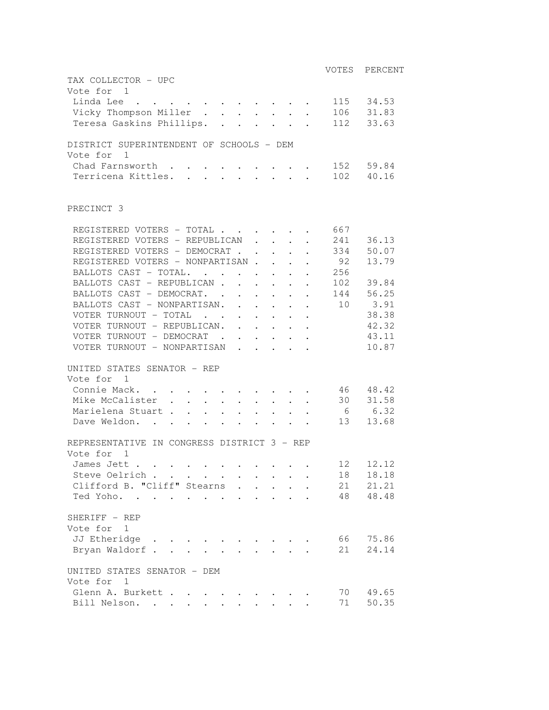|                                                                                                                                                                              |                 | VOTES PERCENT |
|------------------------------------------------------------------------------------------------------------------------------------------------------------------------------|-----------------|---------------|
| TAX COLLECTOR - UPC                                                                                                                                                          |                 |               |
| Vote for 1                                                                                                                                                                   |                 |               |
| Linda Lee                                                                                                                                                                    |                 | 115 34.53     |
| Vicky Thompson Miller 106 31.83                                                                                                                                              |                 |               |
| Teresa Gaskins Phillips. 112 33.63                                                                                                                                           |                 |               |
| DISTRICT SUPERINTENDENT OF SCHOOLS - DEM                                                                                                                                     |                 |               |
| Vote for 1                                                                                                                                                                   |                 |               |
| Chad Farnsworth                                                                                                                                                              |                 | 152 59.84     |
| Terricena Kittles.                                                                                                                                                           |                 | 102 40.16     |
|                                                                                                                                                                              |                 |               |
| PRECINCT 3                                                                                                                                                                   |                 |               |
| REGISTERED VOTERS - TOTAL                                                                                                                                                    | 667             |               |
| REGISTERED VOTERS - REPUBLICAN.<br>$\mathbf{L}$ and $\mathbf{L}$                                                                                                             | 241             | 36.13         |
| REGISTERED VOTERS - DEMOCRAT                                                                                                                                                 |                 | 334 50.07     |
| REGISTERED VOTERS - NONPARTISAN                                                                                                                                              | 92              | 13.79         |
| BALLOTS CAST - TOTAL.                                                                                                                                                        | 256             |               |
| BALLOTS CAST - REPUBLICAN                                                                                                                                                    | 102             | 39.84         |
| BALLOTS CAST - DEMOCRAT.                                                                                                                                                     |                 | 144 56.25     |
| BALLOTS CAST - NONPARTISAN. 10                                                                                                                                               |                 | 3.91          |
| VOTER TURNOUT - TOTAL                                                                                                                                                        |                 | 38.38         |
| VOTER TURNOUT - REPUBLICAN.                                                                                                                                                  |                 | 42.32         |
| VOTER TURNOUT - DEMOCRAT                                                                                                                                                     |                 | 43.11         |
| VOTER TURNOUT - NONPARTISAN                                                                                                                                                  |                 | 10.87         |
|                                                                                                                                                                              |                 |               |
| UNITED STATES SENATOR - REP                                                                                                                                                  |                 |               |
| Vote for 1                                                                                                                                                                   |                 |               |
| Connie Mack.                                                                                                                                                                 |                 | 46 48.42      |
| Mike McCalister.<br>$\mathcal{L}^{\text{max}}$ , and $\mathcal{L}^{\text{max}}$<br>$\mathcal{L}^{\text{max}}$<br>$\mathbf{r} = \mathbf{r} + \mathbf{r}$ , where $\mathbf{r}$ |                 | 30 31.58      |
| Marielena Stuart<br>$\mathbf{r} = \mathbf{r} + \mathbf{r} + \mathbf{r} + \mathbf{r} + \mathbf{r}$<br>$\mathbf{L}^{\text{max}}$                                               | $6\overline{6}$ | 6.32          |
| Dave Weldon.<br>$\mathbf{r} = \mathbf{r} + \mathbf{r} + \mathbf{r} + \mathbf{r} + \mathbf{r} + \mathbf{r}$                                                                   |                 | 13 13.68      |
| REPRESENTATIVE IN CONGRESS DISTRICT 3 - REP                                                                                                                                  |                 |               |
| Vote for 1                                                                                                                                                                   |                 |               |
| James Jett .                                                                                                                                                                 |                 | 12 12.12      |
| Steve Oelrich                                                                                                                                                                | 18              | 18.18         |
| Clifford B. "Cliff" Stearns .<br>$\mathbf{r}$ $\mathbf{r}$ $\mathbf{r}$                                                                                                      |                 | 21 21.21      |
| $\mathbf{L}$<br>Ted Yoho.                                                                                                                                                    |                 | 48 48.48      |
|                                                                                                                                                                              |                 |               |
| SHERIFF - REP                                                                                                                                                                |                 |               |
| Vote for 1                                                                                                                                                                   |                 |               |
| JJ Etheridge                                                                                                                                                                 |                 | 66 75.86      |
| Bryan Waldorf.                                                                                                                                                               | 21              | 24.14         |
| UNITED STATES SENATOR - DEM                                                                                                                                                  |                 |               |
| Vote for<br>1                                                                                                                                                                |                 |               |
| Glenn A. Burkett                                                                                                                                                             | 70              | 49.65         |
| Bill Nelson.<br>$\mathbf{L}$                                                                                                                                                 | 71              | 50.35         |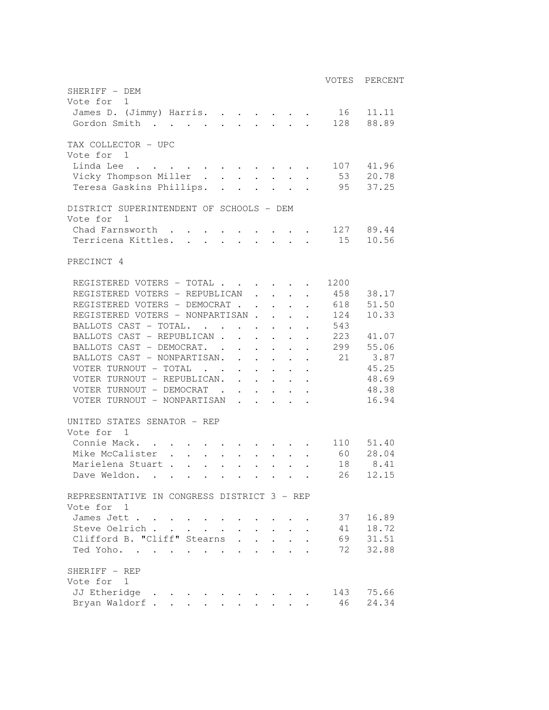|                                                    |      | VOTES PERCENT    |
|----------------------------------------------------|------|------------------|
| SHERIFF - DEM                                      |      |                  |
| Vote for 1                                         |      |                  |
| James D. (Jimmy) Harris. 16 11.11                  |      |                  |
| Gordon Smith 128 88.89                             |      |                  |
|                                                    |      |                  |
| TAX COLLECTOR - UPC                                |      |                  |
| Vote for 1                                         |      |                  |
| Linda Lee 107 41.96                                |      |                  |
| Vicky Thompson Miller 53 20.78                     |      |                  |
| Teresa Gaskins Phillips. 95 37.25                  |      |                  |
|                                                    |      |                  |
| DISTRICT SUPERINTENDENT OF SCHOOLS - DEM           |      |                  |
| Vote for 1                                         |      |                  |
| Chad Farnsworth 127 89.44                          |      |                  |
| Terricena Kittles. 15 10.56                        |      |                  |
|                                                    |      |                  |
| PRECINCT 4                                         |      |                  |
|                                                    |      |                  |
| REGISTERED VOTERS - TOTAL                          | 1200 |                  |
| REGISTERED VOTERS - REPUBLICAN 458 38.17           |      |                  |
| REGISTERED VOTERS - DEMOCRAT                       |      | 618 51.50        |
| REGISTERED VOTERS - NONPARTISAN                    | 124  | 10.33            |
| BALLOTS CAST - TOTAL.                              | 543  |                  |
| BALLOTS CAST - REPUBLICAN                          |      | 223 41.07        |
| BALLOTS CAST - DEMOCRAT. 299 55.06                 |      |                  |
| BALLOTS CAST - NONPARTISAN. 21 3.87                |      |                  |
| VOTER TURNOUT - TOTAL                              |      | 45.25            |
| VOTER TURNOUT - REPUBLICAN.                        |      | 48.69            |
| VOTER TURNOUT - DEMOCRAT                           |      | 48.38            |
| VOTER TURNOUT - NONPARTISAN                        |      | 16.94            |
|                                                    |      |                  |
| UNITED STATES SENATOR - REP                        |      |                  |
| Vote for 1                                         |      |                  |
| Connie Mack. 110 51.40                             |      |                  |
| Mike McCalister 60 28.04                           |      |                  |
| Marielena Stuart                                   | 18   | 8.41             |
| Dave Weldon.                                       |      | 26 12.15         |
|                                                    |      |                  |
| REPRESENTATIVE IN CONGRESS DISTRICT 3 - REP        |      |                  |
| Vote for 1                                         |      |                  |
| James Jett                                         | 37   | 16.89            |
| Steve Oelrich                                      |      | 41 18.72         |
| Clifford B. "Cliff" Stearns                        |      | $69 \quad 31.51$ |
| Ted Yoho.<br>$\cdot$ $\cdot$ $\cdot$               | 72   | 32.88            |
|                                                    |      |                  |
| SHERIFF - REP                                      |      |                  |
| Vote for 1                                         |      |                  |
| JJ Etheridge<br>$\sim$ $\sim$ $\sim$ $\sim$ $\sim$ |      | 143 75.66        |
| Bryan Waldorf                                      | 46   | 24.34            |
|                                                    |      |                  |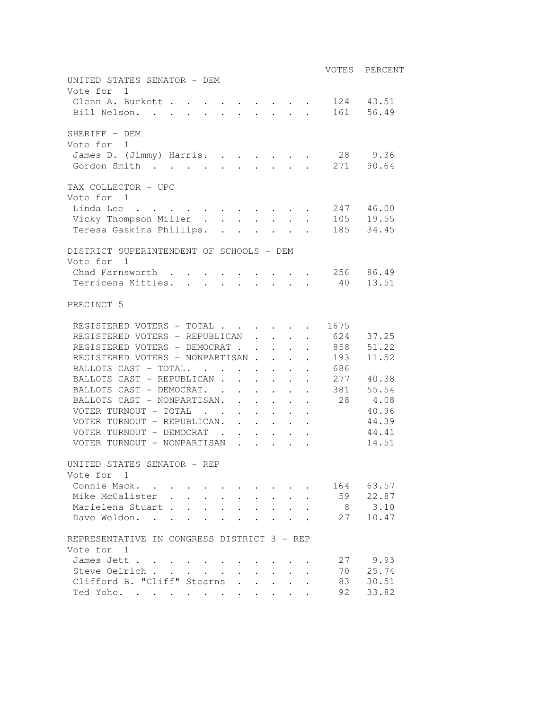|                                                           |                | VOTES PERCENT |
|-----------------------------------------------------------|----------------|---------------|
| UNITED STATES SENATOR - DEM<br>Vote for 1                 |                |               |
| Glenn A. Burkett 124 43.51                                |                |               |
| Bill Nelson.                                              |                | 161 56.49     |
| SHERIFF - DEM<br>Vote for 1                               |                |               |
| James D. (Jimmy) Harris. 28 9.36                          |                |               |
| Gordon Smith 271 90.64                                    |                |               |
| TAX COLLECTOR - UPC<br>Vote for 1                         |                |               |
| Linda Lee 247 46.00                                       |                |               |
| Vicky Thompson Miller 105 19.55                           |                |               |
| Teresa Gaskins Phillips. 185 34.45                        |                |               |
|                                                           |                |               |
| DISTRICT SUPERINTENDENT OF SCHOOLS - DEM<br>Vote for 1    |                |               |
| Chad Farnsworth 256 86.49                                 |                |               |
| Terricena Kittles. 40 13.51                               |                |               |
| PRECINCT 5                                                |                |               |
| REGISTERED VOTERS - TOTAL 1675                            |                |               |
| REGISTERED VOTERS - REPUBLICAN 624 37.25                  |                |               |
| REGISTERED VOTERS - DEMOCRAT                              | . 858          | 51.22         |
| REGISTERED VOTERS - NONPARTISAN                           | 193            | 11.52         |
| BALLOTS CAST - TOTAL.                                     | 686            |               |
| BALLOTS CAST - REPUBLICAN                                 |                | 277 40.38     |
| BALLOTS CAST - DEMOCRAT.                                  | . 381 55.54    |               |
| BALLOTS CAST - NONPARTISAN. 28 4.08                       |                |               |
| VOTER TURNOUT - TOTAL                                     |                | 40.96         |
| VOTER TURNOUT - REPUBLICAN.                               |                | 44.39         |
| VOTER TURNOUT - DEMOCRAT                                  |                | 44.41         |
| VOTER TURNOUT - NONPARTISAN                               |                | 14.51         |
|                                                           |                |               |
| UNITED STATES SENATOR - REP                               |                |               |
| Vote for 1<br>Connie Mack.                                |                | 164 63.57     |
| Mike McCalister .                                         |                | 59 22.87      |
| $\mathbf{L}^{\text{max}}$<br>Marielena Stuart             | 8 <sup>8</sup> | 3.10          |
| $\ddot{\phantom{a}}$<br>Dave Weldon.                      | 27             | 10.47         |
| $\ddot{\phantom{a}}$                                      |                |               |
| REPRESENTATIVE IN CONGRESS DISTRICT 3 - REP<br>Vote for 1 |                |               |
| James Jett                                                |                | 27 9.93       |
| Steve Oelrich<br>$\ddot{\phantom{0}}$                     |                | 70 25.74      |
| Clifford B. "Cliff" Stearns<br>$\mathbf{r}$               | 83             | 30.51         |
| Ted Yoho.                                                 | 92             | 33.82         |
|                                                           |                |               |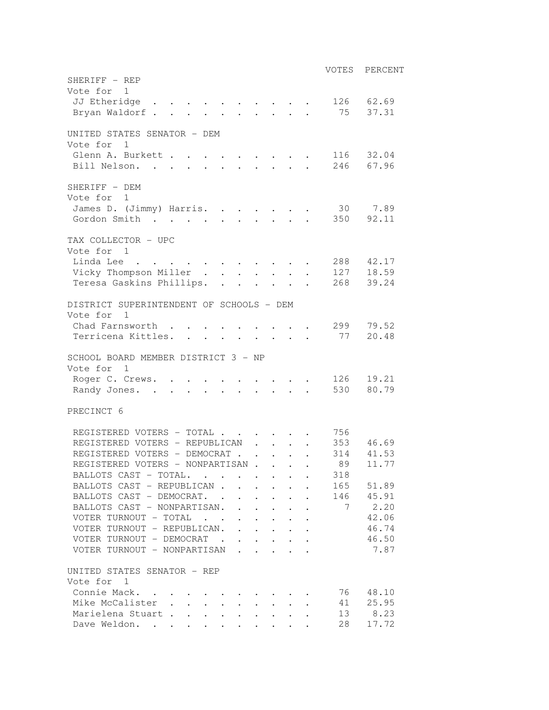|                                                                                                          |                                            |                      |                                                                                        |                      |           | VOTES PERCENT  |
|----------------------------------------------------------------------------------------------------------|--------------------------------------------|----------------------|----------------------------------------------------------------------------------------|----------------------|-----------|----------------|
| SHERIFF - REP                                                                                            |                                            |                      |                                                                                        |                      |           |                |
| Vote for 1                                                                                               |                                            |                      |                                                                                        |                      |           |                |
| JJ Etheridge 126 62.69                                                                                   |                                            |                      |                                                                                        |                      |           |                |
| Bryan Waldorf 75 37.31                                                                                   |                                            |                      |                                                                                        |                      |           |                |
| UNITED STATES SENATOR - DEM                                                                              |                                            |                      |                                                                                        |                      |           |                |
| Vote for<br>$\overline{1}$                                                                               |                                            |                      |                                                                                        |                      |           |                |
| Glenn A. Burkett 116 32.04                                                                               |                                            |                      |                                                                                        |                      |           |                |
| Bill Nelson. 246 67.96                                                                                   |                                            |                      |                                                                                        |                      |           |                |
|                                                                                                          |                                            |                      |                                                                                        |                      |           |                |
| SHERIFF - DEM                                                                                            |                                            |                      |                                                                                        |                      |           |                |
| Vote for 1                                                                                               |                                            |                      |                                                                                        |                      |           |                |
| James D. (Jimmy) Harris.                                                                                 |                                            |                      |                                                                                        |                      | 30 7.89   |                |
| Gordon Smith                                                                                             |                                            |                      |                                                                                        |                      | 350       | 92.11          |
|                                                                                                          |                                            |                      |                                                                                        |                      |           |                |
| TAX COLLECTOR - UPC<br>Vote for 1                                                                        |                                            |                      |                                                                                        |                      |           |                |
| Linda Lee                                                                                                |                                            |                      |                                                                                        |                      | 288 42.17 |                |
| Vicky Thompson Miller 127 18.59                                                                          |                                            |                      |                                                                                        |                      |           |                |
| Teresa Gaskins Phillips. 268 39.24                                                                       |                                            |                      |                                                                                        |                      |           |                |
|                                                                                                          |                                            |                      |                                                                                        |                      |           |                |
| DISTRICT SUPERINTENDENT OF SCHOOLS - DEM                                                                 |                                            |                      |                                                                                        |                      |           |                |
| Vote for 1                                                                                               |                                            |                      |                                                                                        |                      |           |                |
| Chad Farnsworth                                                                                          |                                            |                      |                                                                                        |                      | 299       | 79.52          |
| Terricena Kittles.<br>$\mathcal{L}(\mathcal{A})$ . The contribution of the contribution of $\mathcal{A}$ |                                            |                      |                                                                                        |                      | 77        | 20.48          |
|                                                                                                          |                                            |                      |                                                                                        |                      |           |                |
| SCHOOL BOARD MEMBER DISTRICT 3 - NP                                                                      |                                            |                      |                                                                                        |                      |           |                |
| Vote for 1                                                                                               |                                            |                      |                                                                                        |                      |           |                |
| Roger C. Crews.                                                                                          |                                            |                      |                                                                                        |                      | 126 19.21 |                |
| Randy Jones.                                                                                             |                                            |                      |                                                                                        |                      | 530 80.79 |                |
| PRECINCT 6                                                                                               |                                            |                      |                                                                                        |                      |           |                |
|                                                                                                          |                                            |                      |                                                                                        |                      |           |                |
| REGISTERED VOTERS - TOTAL                                                                                |                                            |                      |                                                                                        |                      | 756       |                |
| REGISTERED VOTERS - REPUBLICAN                                                                           | $\mathbf{r}$ $\mathbf{r}$                  |                      |                                                                                        |                      | 353 46.69 |                |
| REGISTERED VOTERS - DEMOCRAT                                                                             |                                            |                      |                                                                                        |                      | 314 41.53 |                |
| REGISTERED VOTERS - NONPARTISAN                                                                          |                                            |                      |                                                                                        |                      | 89        | 11.77          |
| BALLOTS CAST - TOTAL.                                                                                    |                                            |                      |                                                                                        |                      | 318       |                |
| BALLOTS CAST - REPUBLICAN                                                                                |                                            | $\ddot{\phantom{0}}$ | $\ddot{\phantom{0}}$                                                                   |                      | 165 51.89 |                |
| BALLOTS CAST - DEMOCRAT. .                                                                               | $\ddot{\phantom{0}}$                       | $\ddot{\phantom{0}}$ | $\ddot{\phantom{0}}$                                                                   | $\ddot{\phantom{a}}$ | 146 45.91 | 2.20           |
| BALLOTS CAST - NONPARTISAN.<br>$\mathbf{r}$<br>VOTER TURNOUT - TOTAL                                     | $\sim$ $\sim$<br>$\ddot{\phantom{a}}$      |                      | $\mathbf{L} = \mathbf{L}$<br>$\mathbf{L}^{\text{max}}$ , and $\mathbf{L}^{\text{max}}$ | $\ddot{\phantom{a}}$ | 7         |                |
| VOTER TURNOUT - REPUBLICAN.                                                                              | $\mathbf{1}$ . $\mathbf{1}$ . $\mathbf{1}$ |                      |                                                                                        |                      |           | 42.06<br>46.74 |
| VOTER TURNOUT - DEMOCRAT .                                                                               |                                            |                      |                                                                                        |                      |           | 46.50          |
| VOTER TURNOUT - NONPARTISAN                                                                              |                                            |                      |                                                                                        |                      |           | 7.87           |
|                                                                                                          |                                            |                      |                                                                                        |                      |           |                |
| UNITED STATES SENATOR - REP                                                                              |                                            |                      |                                                                                        |                      |           |                |
| Vote for 1                                                                                               |                                            |                      |                                                                                        |                      |           |                |
| Connie Mack.                                                                                             |                                            |                      |                                                                                        |                      | 76 48.10  |                |
| Mike McCalister                                                                                          |                                            |                      | $\ddot{\phantom{a}}$ .                                                                 |                      |           | 41 25.95       |
| Marielena Stuart                                                                                         |                                            |                      |                                                                                        |                      |           | 13 8.23        |
| Dave Weldon.<br>$\mathcal{L}^{\text{max}}$                                                               | $\mathcal{L}^{\text{max}}$                 |                      | $\ddot{\phantom{1}}$                                                                   |                      | 28        | 17.72          |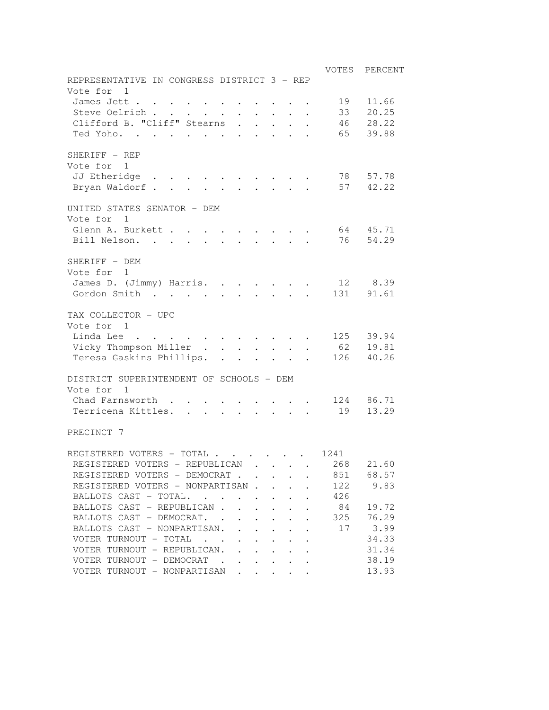| REPRESENTATIVE IN CONGRESS DISTRICT 3 - REP<br>Vote for<br>$\overline{1}$                                                                                     | VOTES<br>PERCENT |
|---------------------------------------------------------------------------------------------------------------------------------------------------------------|------------------|
| James Jett                                                                                                                                                    | 11.66<br>19      |
| Steve Oelrich<br>$\mathbf{r}$ , $\mathbf{r}$ , $\mathbf{r}$ , $\mathbf{r}$<br>$\bullet$ .<br><br><br><br><br><br><br><br><br><br><br><br>                     | 33<br>20.25      |
| Clifford B. "Cliff" Stearns<br>$\ddot{\phantom{a}}$<br>$\ddot{\phantom{0}}$<br>$\ddot{\phantom{1}}$                                                           | 28.22<br>46      |
| Ted Yoho.<br>$\ddot{\phantom{a}}$<br>$\ddot{\phantom{0}}$                                                                                                     | 65<br>39.88      |
|                                                                                                                                                               |                  |
| SHERIFF - REP<br>Vote for<br>-1<br>JJ Etheridge<br>$\sim 100$ km s $^{-1}$                                                                                    | 57.78<br>78      |
| Bryan Waldorf<br>$\cdot$ $\cdot$ $\cdot$ $\cdot$ $\cdot$ 57                                                                                                   | 42.22            |
| UNITED STATES SENATOR - DEM<br>Vote for<br>1<br>Glenn A. Burkett                                                                                              | 45.71<br>64      |
| Bill Nelson.                                                                                                                                                  | 76<br>54.29      |
| SHERIFF - DEM<br>Vote for<br>1<br>James D. (Jimmy) Harris.                                                                                                    | 12 8.39          |
| Gordon Smith<br>$\ddot{\phantom{a}}$                                                                                                                          | 131<br>91.61     |
|                                                                                                                                                               |                  |
| TAX COLLECTOR - UPC<br>Vote for 1<br>Linda Lee<br>$\mathcal{L}(\mathcal{A})$ , and $\mathcal{L}(\mathcal{A})$ , and                                           | 125<br>39.94     |
| Vicky Thompson Miller<br>$\mathbf{r} = \mathbf{r} + \mathbf{r}$                                                                                               | 62 19.81         |
| Teresa Gaskins Phillips. .                                                                                                                                    | 40.26<br>126     |
| DISTRICT SUPERINTENDENT OF SCHOOLS - DEM<br>Vote for<br>$\overline{1}$                                                                                        |                  |
| Chad Farnsworth.                                                                                                                                              | 86.71<br>124     |
| Terricena Kittles.<br>$\mathbf{r}$ and $\mathbf{r}$<br>$\mathbf{r}$ . The set of $\mathbf{r}$                                                                 | 13.29<br>19      |
| PRECINCT 7                                                                                                                                                    |                  |
| REGISTERED VOTERS - TOTAL                                                                                                                                     | 1241             |
| REGISTERED VOTERS - REPUBLICAN                                                                                                                                | 21.60<br>268     |
| REGISTERED VOTERS - DEMOCRAT.                                                                                                                                 | 68.57<br>851     |
| REGISTERED VOTERS - NONPARTISAN .                                                                                                                             | 122<br>9.83      |
| BALLOTS CAST - TOTAL.<br>$\sim$ $\sim$ $\sim$<br>$\sim$ $\sim$                                                                                                | 426              |
| BALLOTS CAST - REPUBLICAN.<br>$\overline{a}$                                                                                                                  | 19.72<br>84      |
| BALLOTS CAST - DEMOCRAT. .<br>$\ddot{\phantom{0}}$<br>$\mathbf{L}$<br>$\ddot{\phantom{a}}$<br>$\ddot{\phantom{a}}$                                            | 76.29<br>325     |
| BALLOTS CAST - NONPARTISAN.<br>$\mathbf{r}$<br>$\ddot{\phantom{a}}$<br>$\cdot$<br>$\ddot{\phantom{a}}$                                                        | 3.99<br>17       |
| VOTER TURNOUT - TOTAL<br>$\mathbf{r}$ . The set of $\mathbf{r}$<br>$\mathcal{L}^{\text{max}}$<br>$\mathbf{L}$<br>$\ddot{\phantom{a}}$<br>$\ddot{\phantom{a}}$ | 34.33            |
| VOTER TURNOUT - REPUBLICAN.<br>$\ddot{\phantom{a}}$<br>$\ddot{\phantom{0}}$                                                                                   | 31.34            |
| VOTER TURNOUT - DEMOCRAT.<br>$\ddot{\phantom{0}}$<br>$\ddot{\phantom{a}}$<br>$\ddot{\phantom{a}}$<br>$\ddot{\phantom{a}}$<br>$\ddot{\phantom{0}}$             | 38.19            |
| VOTER TURNOUT - NONPARTISAN                                                                                                                                   | 13.93            |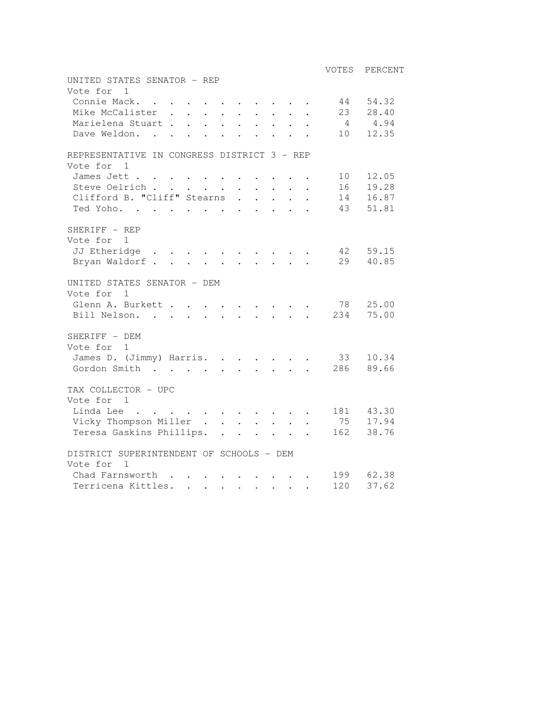|                                                                                                                                                                           |                | VOTES PERCENT          |
|---------------------------------------------------------------------------------------------------------------------------------------------------------------------------|----------------|------------------------|
| UNITED STATES SENATOR - REP<br>Vote for 1                                                                                                                                 |                |                        |
| Connie Mack.<br>$\sim$<br>$\ddot{\phantom{a}}$<br>$\sim$                                                                                                                  | 44 54.32       |                        |
| Mike McCalister<br>$\ddot{\phantom{a}}$                                                                                                                                   | 23             | 28.40                  |
| Marielena Stuart<br>$\mathbf{L}^{\text{max}}$<br>$\mathbf{L}$<br>$\mathbf{L}$                                                                                             |                | 4.94                   |
| Dave Weldon<br>$\mathbf{L}$                                                                                                                                               |                | 10 12.35               |
| REPRESENTATIVE IN CONGRESS DISTRICT 3 - REP                                                                                                                               |                |                        |
| Vote for<br>1                                                                                                                                                             |                |                        |
| James Jett                                                                                                                                                                | 10             | 12.05                  |
| Steve Oelrich<br>$\sim$<br>$\mathbf{L}^{\text{max}}$ , and $\mathbf{L}^{\text{max}}$                                                                                      |                | 16  19.28<br>14  16.87 |
| Clifford B. "Cliff" Stearns<br>$\ddot{\phantom{0}}$<br>$\mathbf{L}$                                                                                                       | 43             |                        |
| Ted Yoho.<br>$\sim$<br>$\mathbf{r}$                                                                                                                                       |                | 51.81                  |
| SHERIFF - REP                                                                                                                                                             |                |                        |
| Vote for 1                                                                                                                                                                |                |                        |
| JJ Etheridge<br>Bryan Waldorf                                                                                                                                             | 42 59.15<br>29 | 40.85                  |
|                                                                                                                                                                           |                |                        |
| UNITED STATES SENATOR - DEM                                                                                                                                               |                |                        |
| Vote for<br>$\mathbf{1}$                                                                                                                                                  |                |                        |
| Glenn A. Burkett 78                                                                                                                                                       |                | 25.00<br>75.00         |
| Bill Nelson. 234                                                                                                                                                          |                |                        |
| SHERIFF - DEM                                                                                                                                                             |                |                        |
| Vote for 1                                                                                                                                                                |                |                        |
| James D. (Jimmy) Harris.                                                                                                                                                  | 33             | 10.34                  |
| Gordon Smith                                                                                                                                                              | 286            | 89.66                  |
| TAX COLLECTOR - UPC                                                                                                                                                       |                |                        |
| Vote for 1                                                                                                                                                                |                |                        |
| Linda Lee                                                                                                                                                                 |                | 181 43.30              |
| Vicky Thompson Miller<br>$\ddot{\phantom{a}}$<br>$\sim$                                                                                                                   |                | 75 17.94               |
| Teresa Gaskins Phillips.<br>$\mathbf{1}$ $\mathbf{1}$ $\mathbf{1}$ $\mathbf{1}$ $\mathbf{1}$                                                                              |                | 162 38.76              |
| DISTRICT SUPERINTENDENT OF SCHOOLS - DEM                                                                                                                                  |                |                        |
| Vote for<br>$\overline{1}$                                                                                                                                                |                |                        |
| Chad Farnsworth<br>$\mathbf{r}$ . The set of $\mathbf{r}$<br>$\mathbf{A}^{\text{max}}$ , and $\mathbf{A}^{\text{max}}$<br>$\sim 100$ km s $^{-1}$<br>$\ddot{\phantom{a}}$ |                | 199 62.38              |
| Terricena Kittles.<br>$\mathbf{r} = \mathbf{r} + \mathbf{r} + \mathbf{r} + \mathbf{r} + \mathbf{r} + \mathbf{r} + \mathbf{r}$                                             | 120            | 37.62                  |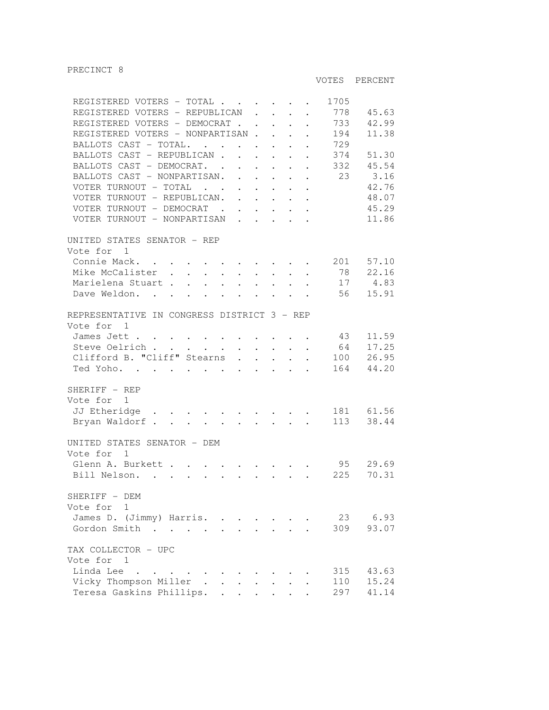PRECINCT 8

VOTES PERCENT

| REGISTERED VOTERS - TOTAL                                                                                                                                                                                                                     |  |                                                                  |                            | 1705 |           |
|-----------------------------------------------------------------------------------------------------------------------------------------------------------------------------------------------------------------------------------------------|--|------------------------------------------------------------------|----------------------------|------|-----------|
| REGISTERED VOTERS - REPUBLICAN                                                                                                                                                                                                                |  | $\mathbf{r} = \mathbf{r} + \mathbf{r} + \mathbf{r} + \mathbf{r}$ |                            | 778  | 45.63     |
| REGISTERED VOTERS - DEMOCRAT                                                                                                                                                                                                                  |  |                                                                  | $\ddot{\phantom{a}}$       | 733  | 42.99     |
| REGISTERED VOTERS - NONPARTISAN                                                                                                                                                                                                               |  |                                                                  |                            | 194  | 11.38     |
| BALLOTS CAST - TOTAL.                                                                                                                                                                                                                         |  |                                                                  |                            | 729  |           |
| BALLOTS CAST - REPUBLICAN.                                                                                                                                                                                                                    |  | $\mathbf{r} = \mathbf{r} - \mathbf{r} = \mathbf{r} - \mathbf{r}$ |                            | 374  | 51.30     |
| BALLOTS CAST - DEMOCRAT.                                                                                                                                                                                                                      |  |                                                                  |                            | 332  | 45.54     |
| BALLOTS CAST - NONPARTISAN.                                                                                                                                                                                                                   |  |                                                                  |                            | 23   | 3.16      |
| VOTER TURNOUT - TOTAL                                                                                                                                                                                                                         |  |                                                                  |                            |      | 42.76     |
| VOTER TURNOUT - REPUBLICAN.                                                                                                                                                                                                                   |  | $\mathcal{A}=\mathcal{A}=\mathcal{A}=\mathcal{A}=\mathcal{A}$    |                            |      | 48.07     |
|                                                                                                                                                                                                                                               |  |                                                                  |                            |      | 45.29     |
| VOTER TURNOUT - DEMOCRAT<br>VOTER TURNOUT - NONPARTISAN                                                                                                                                                                                       |  |                                                                  |                            |      |           |
|                                                                                                                                                                                                                                               |  |                                                                  |                            |      | 11.86     |
| UNITED STATES SENATOR - REP                                                                                                                                                                                                                   |  |                                                                  |                            |      |           |
| Vote for 1                                                                                                                                                                                                                                    |  |                                                                  |                            |      |           |
| Connie Mack.<br>. The contract of the contract of the contract $\mathcal{L}_\text{c}$                                                                                                                                                         |  |                                                                  |                            |      | 201 57.10 |
| Mike McCalister.                                                                                                                                                                                                                              |  |                                                                  | $\ddot{\phantom{0}}$       | 78   | 22.16     |
| $\begin{array}{ccccccccc} \star & \star & \star & \star & \star & \star & \star & \star \\ \star & \star & \star & \star & \star & \star & \star & \star \end{array}$<br>Marielena Stuart                                                     |  | $\mathcal{A}^{\mathcal{A}}$ , and $\mathcal{A}^{\mathcal{A}}$    |                            |      | 17 4.83   |
|                                                                                                                                                                                                                                               |  | $\mathbf{L}$ and $\mathbf{L}$                                    |                            | 56   |           |
| Dave Weldon.                                                                                                                                                                                                                                  |  |                                                                  |                            |      | 15.91     |
| REPRESENTATIVE IN CONGRESS DISTRICT 3 - REP                                                                                                                                                                                                   |  |                                                                  |                            |      |           |
| Vote for 1                                                                                                                                                                                                                                    |  |                                                                  |                            |      |           |
|                                                                                                                                                                                                                                               |  |                                                                  |                            | 43   | 11.59     |
| James Jett<br>Steve Oelrich<br>$\mathbf{r}$ , $\mathbf{r}$ , $\mathbf{r}$ , $\mathbf{r}$ , $\mathbf{r}$ , $\mathbf{r}$                                                                                                                        |  |                                                                  |                            | 64   | 17.25     |
| Clifford B. "Cliff" Stearns                                                                                                                                                                                                                   |  |                                                                  | $\mathcal{L}^{\text{max}}$ | 100  |           |
|                                                                                                                                                                                                                                               |  |                                                                  |                            |      | 26.95     |
| Ted Yoho.                                                                                                                                                                                                                                     |  |                                                                  |                            | 164  | 44.20     |
| SHERIFF - REP                                                                                                                                                                                                                                 |  |                                                                  |                            |      |           |
|                                                                                                                                                                                                                                               |  |                                                                  |                            |      |           |
| Vote for<br>1                                                                                                                                                                                                                                 |  |                                                                  |                            |      |           |
| JJ Etheridge<br>. The second contract of the second contract of the second contract of the second contract of the second contract of the second contract of the second contract of the second contract of the second contract of the second c |  |                                                                  |                            |      | 181 61.56 |
| Bryan Waldorf                                                                                                                                                                                                                                 |  |                                                                  |                            | 113  | 38.44     |
| UNITED STATES SENATOR - DEM                                                                                                                                                                                                                   |  |                                                                  |                            |      |           |
| Vote for<br>$\mathbf{1}$                                                                                                                                                                                                                      |  |                                                                  |                            |      |           |
| Glenn A. Burkett 95                                                                                                                                                                                                                           |  |                                                                  |                            |      | 29.69     |
| Bill Nelson.                                                                                                                                                                                                                                  |  |                                                                  |                            | 225  | 70.31     |
| $\mathbf{r}$ , and $\mathbf{r}$ , and $\mathbf{r}$ , and $\mathbf{r}$ , and $\mathbf{r}$ , and $\mathbf{r}$                                                                                                                                   |  |                                                                  |                            |      |           |
| SHERIFF - DEM                                                                                                                                                                                                                                 |  |                                                                  |                            |      |           |
| Vote for 1                                                                                                                                                                                                                                    |  |                                                                  |                            |      |           |
|                                                                                                                                                                                                                                               |  |                                                                  |                            |      | 23 6.93   |
| James D. (Jimmy) Harris.                                                                                                                                                                                                                      |  |                                                                  |                            |      |           |
| Gordon Smith<br>$\mathbf{r}$ , $\mathbf{r}$ , $\mathbf{r}$ , $\mathbf{r}$                                                                                                                                                                     |  |                                                                  |                            | 309  | 93.07     |
| TAX COLLECTOR - UPC                                                                                                                                                                                                                           |  |                                                                  |                            |      |           |
| Vote for 1                                                                                                                                                                                                                                    |  |                                                                  |                            |      |           |
| Linda Lee<br>$\mathbf{r}$ , and $\mathbf{r}$ , and $\mathbf{r}$                                                                                                                                                                               |  |                                                                  |                            | 315  | 43.63     |
| Vicky Thompson Miller.                                                                                                                                                                                                                        |  |                                                                  |                            | 110  | 15.24     |
|                                                                                                                                                                                                                                               |  |                                                                  |                            |      |           |
| Teresa Gaskins Phillips. .<br><b>Contract Contract Contract</b>                                                                                                                                                                               |  |                                                                  |                            | 297  | 41.14     |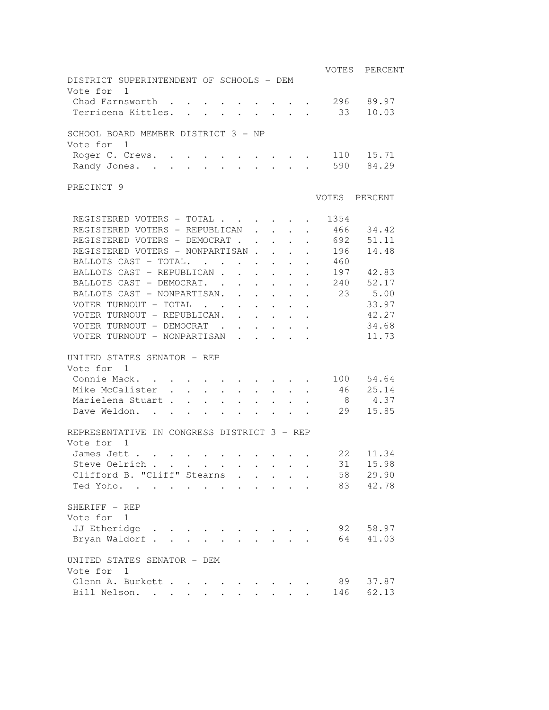|                                                                                                                                                                                                                                               |                                                                           |                                               |                 | VOTES          | PERCENT        |
|-----------------------------------------------------------------------------------------------------------------------------------------------------------------------------------------------------------------------------------------------|---------------------------------------------------------------------------|-----------------------------------------------|-----------------|----------------|----------------|
| DISTRICT SUPERINTENDENT OF SCHOOLS - DEM                                                                                                                                                                                                      |                                                                           |                                               |                 |                |                |
| Vote for 1                                                                                                                                                                                                                                    |                                                                           |                                               |                 |                |                |
| Chad Farnsworth                                                                                                                                                                                                                               | $\sim$ $-$<br>$\bullet$ .<br><br><br><br><br><br><br><br><br><br><br><br> | $\bullet$ , $\bullet$ , $\bullet$ , $\bullet$ | $\sim$          | 296<br>33      | 89.97<br>10.03 |
| Terricena Kittles.                                                                                                                                                                                                                            |                                                                           |                                               |                 |                |                |
| SCHOOL BOARD MEMBER DISTRICT 3 - NP                                                                                                                                                                                                           |                                                                           |                                               |                 |                |                |
| Vote for 1                                                                                                                                                                                                                                    |                                                                           |                                               |                 |                |                |
| Roger C. Crews.                                                                                                                                                                                                                               |                                                                           |                                               | $\sim 10^{-10}$ |                | 110 15.71      |
| Randy Jones.                                                                                                                                                                                                                                  |                                                                           |                                               |                 |                | 590 84.29      |
| PRECINCT 9                                                                                                                                                                                                                                    |                                                                           |                                               |                 |                |                |
|                                                                                                                                                                                                                                               |                                                                           |                                               |                 | VOTES          | PERCENT        |
| REGISTERED VOTERS - TOTAL                                                                                                                                                                                                                     |                                                                           |                                               |                 | 1354           |                |
| REGISTERED VOTERS - REPUBLICAN                                                                                                                                                                                                                |                                                                           |                                               |                 | 466            | 34.42          |
| REGISTERED VOTERS - DEMOCRAT                                                                                                                                                                                                                  |                                                                           |                                               |                 |                | 692 51.11      |
| REGISTERED VOTERS - NONPARTISAN                                                                                                                                                                                                               |                                                                           |                                               |                 | 196            | 14.48          |
| BALLOTS CAST - TOTAL.                                                                                                                                                                                                                         |                                                                           |                                               |                 | 460            |                |
| BALLOTS CAST - REPUBLICAN                                                                                                                                                                                                                     |                                                                           |                                               |                 |                | 197 42.83      |
| BALLOTS CAST - DEMOCRAT.                                                                                                                                                                                                                      |                                                                           |                                               |                 |                | 240 52.17      |
| BALLOTS CAST - NONPARTISAN.                                                                                                                                                                                                                   |                                                                           |                                               |                 | 23             | 5.00           |
| VOTER TURNOUT - TOTAL                                                                                                                                                                                                                         |                                                                           |                                               |                 |                | 33.97          |
| VOTER TURNOUT - REPUBLICAN.                                                                                                                                                                                                                   |                                                                           |                                               |                 |                | 42.27          |
| VOTER TURNOUT - DEMOCRAT                                                                                                                                                                                                                      |                                                                           |                                               |                 |                | 34.68          |
| VOTER TURNOUT - NONPARTISAN                                                                                                                                                                                                                   |                                                                           |                                               |                 |                | 11.73          |
|                                                                                                                                                                                                                                               |                                                                           |                                               |                 |                |                |
| UNITED STATES SENATOR - REP                                                                                                                                                                                                                   |                                                                           |                                               |                 |                |                |
| Vote for 1                                                                                                                                                                                                                                    |                                                                           |                                               |                 |                |                |
| Connie Mack.                                                                                                                                                                                                                                  |                                                                           |                                               |                 |                | 100 54.64      |
| Mike McCalister 46 25.14                                                                                                                                                                                                                      |                                                                           |                                               |                 |                |                |
| Marielena Stuart                                                                                                                                                                                                                              |                                                                           |                                               |                 | 8 <sup>8</sup> | 4.37           |
| Dave Weldon.<br>. The contract of the contract of the contract of the contract of the contract of the contract of the contract of the contract of the contract of the contract of the contract of the contract of the contract of the contrac |                                                                           |                                               |                 | 29             | 15.85          |
| REPRESENTATIVE IN CONGRESS DISTRICT 3 - REP                                                                                                                                                                                                   |                                                                           |                                               |                 |                |                |
| Vote for 1                                                                                                                                                                                                                                    |                                                                           |                                               |                 |                |                |
| James Jett                                                                                                                                                                                                                                    |                                                                           |                                               |                 | 22             | 11.34          |
| Steve Oelrich                                                                                                                                                                                                                                 |                                                                           |                                               |                 | 31             | 15.98          |
| Clifford B. "Cliff" Stearns                                                                                                                                                                                                                   |                                                                           |                                               |                 | 58             | 29.90          |
| Ted Yoho.                                                                                                                                                                                                                                     |                                                                           |                                               |                 | 83             | 42.78          |
|                                                                                                                                                                                                                                               |                                                                           |                                               |                 |                |                |
| SHERIFF - REP                                                                                                                                                                                                                                 |                                                                           |                                               |                 |                |                |
| Vote for 1                                                                                                                                                                                                                                    |                                                                           |                                               |                 |                |                |
| JJ Etheridge                                                                                                                                                                                                                                  |                                                                           |                                               |                 | 92             | 58.97          |
| Bryan Waldorf                                                                                                                                                                                                                                 |                                                                           |                                               |                 |                | 64 41.03       |
| UNITED STATES SENATOR - DEM                                                                                                                                                                                                                   |                                                                           |                                               |                 |                |                |
| Vote for<br>1                                                                                                                                                                                                                                 |                                                                           |                                               |                 |                |                |
| Glenn A. Burkett                                                                                                                                                                                                                              |                                                                           |                                               |                 | 89             | 37.87          |
| Bill Nelson.                                                                                                                                                                                                                                  |                                                                           |                                               |                 | 146            | 62.13          |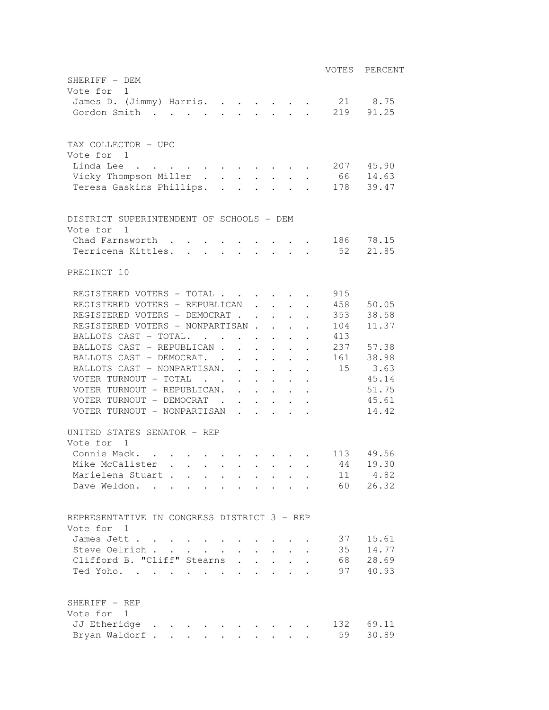|                                                                                                                                           | VOTES | PERCENT   |
|-------------------------------------------------------------------------------------------------------------------------------------------|-------|-----------|
| SHERIFF - DEM                                                                                                                             |       |           |
| Vote for 1                                                                                                                                |       |           |
| James D. (Jimmy) Harris.                                                                                                                  |       | 21 8.75   |
| Gordon Smith                                                                                                                              |       | 219 91.25 |
|                                                                                                                                           |       |           |
| TAX COLLECTOR - UPC                                                                                                                       |       |           |
| Vote for 1                                                                                                                                |       |           |
| Linda Lee                                                                                                                                 |       | 207 45.90 |
| Vicky Thompson Miller                                                                                                                     |       | 66 14.63  |
| Teresa Gaskins Phillips.                                                                                                                  |       | 178 39.47 |
|                                                                                                                                           |       |           |
|                                                                                                                                           |       |           |
| DISTRICT SUPERINTENDENT OF SCHOOLS - DEM                                                                                                  |       |           |
| Vote for 1<br>Chad Farnsworth                                                                                                             |       | 186 78.15 |
| $\mathcal{L}(\mathbf{A})$ and $\mathcal{L}(\mathbf{A})$ and $\mathcal{L}(\mathbf{A})$ and $\mathcal{L}(\mathbf{A})$<br>Terricena Kittles. |       | 52 21.85  |
|                                                                                                                                           |       |           |
| PRECINCT 10                                                                                                                               |       |           |
| REGISTERED VOTERS - TOTAL                                                                                                                 | 915   |           |
| REGISTERED VOTERS - REPUBLICAN                                                                                                            |       | 458 50.05 |
| REGISTERED VOTERS - DEMOCRAT<br>$\mathcal{L}$ . The set of $\mathcal{L}$                                                                  |       | 353 38.58 |
| REGISTERED VOTERS - NONPARTISAN.<br>$\cdot$ $\cdot$ $\cdot$ $\cdot$                                                                       | 104   | 11.37     |
| BALLOTS CAST - TOTAL.                                                                                                                     | 413   |           |
| BALLOTS CAST - REPUBLICAN                                                                                                                 |       | 237 57.38 |
| BALLOTS CAST - DEMOCRAT.                                                                                                                  |       | 161 38.98 |
| BALLOTS CAST - NONPARTISAN.                                                                                                               |       | 15 3.63   |
| VOTER TURNOUT - TOTAL                                                                                                                     |       | 45.14     |
| VOTER TURNOUT - REPUBLICAN.                                                                                                               |       | 51.75     |
| VOTER TURNOUT - DEMOCRAT                                                                                                                  |       | 45.61     |
| VOTER TURNOUT - NONPARTISAN                                                                                                               |       | 14.42     |
| UNITED STATES SENATOR - REP                                                                                                               |       |           |
| Vote for 1                                                                                                                                |       |           |
| Connie Mack.<br>$\sim$ $\sim$<br>$\sim$ $-$<br>$\mathcal{L}(\mathcal{A})$ . The contribution of the contribution of $\mathcal{A}$         |       | 113 49.56 |
| Mike McCalister                                                                                                                           | 44    | 19.30     |
| Marielena Stuart                                                                                                                          | 11    | 4.82      |
| Dave Weldon.                                                                                                                              | 60    | 26.32     |
|                                                                                                                                           |       |           |
| REPRESENTATIVE IN CONGRESS DISTRICT 3 - REP                                                                                               |       |           |
| Vote for 1                                                                                                                                |       |           |
| James Jett<br>$\bullet$ .                                                                                                                 | 37    | 15.61     |
| Steve Oelrich.<br>$\mathbf{L}^{\text{max}}$                                                                                               | 35    | 14.77     |
| Clifford B. "Cliff" Stearns                                                                                                               | 68    | 28.69     |
| Ted Yoho.                                                                                                                                 | 97    | 40.93     |
|                                                                                                                                           |       |           |
| SHERIFF - REP                                                                                                                             |       |           |
| Vote for 1                                                                                                                                |       |           |
| JJ Etheridge                                                                                                                              |       | 132 69.11 |
| Bryan Waldorf.<br>$\omega_{\rm{max}}$                                                                                                     | 59    | 30.89     |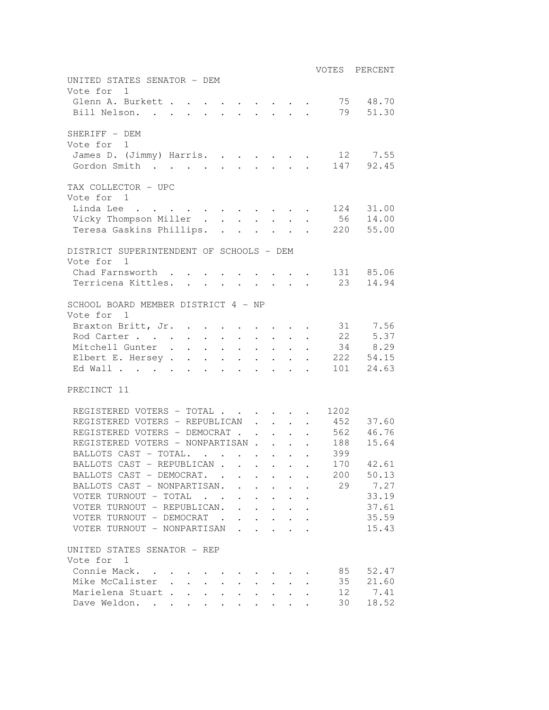| UNITED STATES SENATOR - DEM                                            |  |                                                                 |                                                                             | VOTES PERCENT |
|------------------------------------------------------------------------|--|-----------------------------------------------------------------|-----------------------------------------------------------------------------|---------------|
| Vote for 1                                                             |  |                                                                 |                                                                             |               |
| Glenn A. Burkett                                                       |  |                                                                 | 75                                                                          | 48.70         |
| Bill Nelson.<br>$\mathbf{L}^{\text{max}}$                              |  | $\mathbf{r}$ and $\mathbf{r}$ and $\mathbf{r}$ and $\mathbf{r}$ | 79                                                                          | 51.30         |
| SHERIFF - DEM                                                          |  |                                                                 |                                                                             |               |
| Vote for 1                                                             |  |                                                                 |                                                                             |               |
| James D. (Jimmy) Harris. 12 7.55                                       |  |                                                                 |                                                                             |               |
| Gordon Smith                                                           |  |                                                                 |                                                                             | 147 92.45     |
| TAX COLLECTOR - UPC<br>Vote for 1                                      |  |                                                                 |                                                                             |               |
| Linda Lee                                                              |  |                                                                 | 124                                                                         | 31.00         |
| Vicky Thompson Miller                                                  |  |                                                                 |                                                                             | 56 14.00      |
| Teresa Gaskins Phillips.                                               |  |                                                                 | 220                                                                         | 55.00         |
|                                                                        |  |                                                                 |                                                                             |               |
| DISTRICT SUPERINTENDENT OF SCHOOLS - DEM<br>Vote for<br>$\overline{1}$ |  |                                                                 |                                                                             |               |
| Chad Farnsworth                                                        |  |                                                                 |                                                                             | 131 85.06     |
| Terricena Kittles. 23                                                  |  |                                                                 |                                                                             | 14.94         |
|                                                                        |  |                                                                 |                                                                             |               |
| SCHOOL BOARD MEMBER DISTRICT 4 - NP                                    |  |                                                                 |                                                                             |               |
| Vote for<br>1                                                          |  |                                                                 |                                                                             |               |
| Braxton Britt, Jr. 31 7.56                                             |  |                                                                 |                                                                             |               |
| Rod Carter 22                                                          |  |                                                                 |                                                                             | 5.37          |
| Mitchell Gunter 34 8.29                                                |  |                                                                 |                                                                             |               |
| Elbert E. Hersey                                                       |  |                                                                 |                                                                             | 222 54.15     |
| Ed Wall                                                                |  |                                                                 |                                                                             | 101 24.63     |
| PRECINCT 11                                                            |  |                                                                 |                                                                             |               |
| REGISTERED VOTERS - TOTAL                                              |  |                                                                 | 1202<br>$\bullet$ .<br><br><br><br><br><br><br><br><br><br><br><br><br><br> |               |
| REGISTERED VOTERS - REPUBLICAN                                         |  |                                                                 | 452                                                                         | 37.60         |
| REGISTERED VOTERS - DEMOCRAT                                           |  |                                                                 | 562                                                                         | 46.76         |
| REGISTERED VOTERS - NONPARTISAN                                        |  |                                                                 | 188                                                                         | 15.64         |
| BALLOTS CAST - TOTAL.                                                  |  |                                                                 | 399                                                                         |               |
| BALLOTS CAST - REPUBLICAN                                              |  |                                                                 | 170                                                                         | 42.61         |
| BALLOTS CAST - DEMOCRAT. .                                             |  |                                                                 | 200                                                                         | 50.13         |
| BALLOTS CAST - NONPARTISAN.                                            |  |                                                                 | 29                                                                          | 7.27          |
| VOTER TURNOUT - TOTAL .                                                |  |                                                                 |                                                                             | 33.19         |
| VOTER TURNOUT - REPUBLICAN.                                            |  |                                                                 |                                                                             | 37.61         |
| VOTER TURNOUT - DEMOCRAT .                                             |  |                                                                 |                                                                             | 35.59         |
| VOTER TURNOUT - NONPARTISAN                                            |  |                                                                 |                                                                             | 15.43         |
|                                                                        |  |                                                                 |                                                                             |               |
| UNITED STATES SENATOR - REP                                            |  |                                                                 |                                                                             |               |
| Vote for 1                                                             |  |                                                                 |                                                                             |               |
| Connie Mack.                                                           |  |                                                                 | 85                                                                          | 52.47         |
| Mike McCalister                                                        |  |                                                                 | 35                                                                          | 21.60         |
| Marielena Stuart.                                                      |  |                                                                 | 12                                                                          | 7.41          |
| Dave Weldon.                                                           |  |                                                                 | 30                                                                          | 18.52         |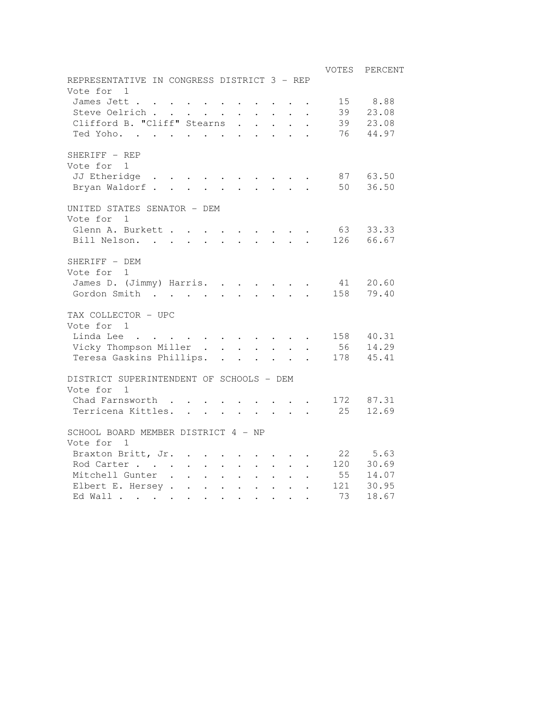|                                                                                           |                                                                 |                                                       |                      |                                 |              |                                         |                                                     | VOTES | PERCENT   |
|-------------------------------------------------------------------------------------------|-----------------------------------------------------------------|-------------------------------------------------------|----------------------|---------------------------------|--------------|-----------------------------------------|-----------------------------------------------------|-------|-----------|
| REPRESENTATIVE IN CONGRESS DISTRICT 3 - REP                                               |                                                                 |                                                       |                      |                                 |              |                                         |                                                     |       |           |
| Vote for<br>1                                                                             |                                                                 |                                                       |                      |                                 |              |                                         |                                                     |       |           |
| James Jett                                                                                |                                                                 |                                                       |                      |                                 |              |                                         |                                                     | 15    | 8.88      |
| Steve Oelrich.                                                                            | $\mathcal{A}=\mathcal{A}=\mathcal{A}=\mathcal{A}=\mathcal{A}$ . |                                                       |                      |                                 |              |                                         | $\mathbf{r} = \mathbf{r} \times \mathbf{r}$ , where | 39    | 23.08     |
| Clifford B. "Cliff" Stearns                                                               |                                                                 |                                                       |                      | $\ddot{\phantom{0}}$            |              |                                         |                                                     | 39    | 23.08     |
| Ted Yoho.                                                                                 |                                                                 |                                                       |                      | $\mathbf{L}$                    |              |                                         |                                                     | 76    | 44.97     |
| SHERIFF - REP                                                                             |                                                                 |                                                       |                      |                                 |              |                                         |                                                     |       |           |
| Vote for 1                                                                                |                                                                 |                                                       |                      |                                 |              |                                         |                                                     |       |           |
| JJ Etheridge<br>$\sim$ $\sim$ $\sim$ $\sim$ $\sim$                                        |                                                                 |                                                       |                      |                                 |              |                                         |                                                     |       | 87 63.50  |
| Bryan Waldorf.                                                                            | $\sim$                                                          | $\mathbf{L}$                                          |                      | $\mathbf{L}$                    |              |                                         |                                                     |       | 50 36.50  |
| UNITED STATES SENATOR - DEM                                                               |                                                                 |                                                       |                      |                                 |              |                                         |                                                     |       |           |
| Vote for<br>1                                                                             |                                                                 |                                                       |                      |                                 |              |                                         |                                                     |       |           |
| Glenn A. Burkett .                                                                        |                                                                 |                                                       |                      |                                 |              |                                         |                                                     | 63    | 33.33     |
| Bill Nelson.                                                                              |                                                                 |                                                       | $\ddot{\phantom{a}}$ |                                 |              |                                         |                                                     |       | 126 66.67 |
| SHERIFF - DEM                                                                             |                                                                 |                                                       |                      |                                 |              |                                         |                                                     |       |           |
| Vote for<br>1                                                                             |                                                                 |                                                       |                      |                                 |              |                                         |                                                     |       |           |
| James D. (Jimmy) Harris.                                                                  |                                                                 |                                                       |                      |                                 |              | $\cdot$ $\cdot$ $\cdot$ $\cdot$ $\cdot$ |                                                     | 41    | 20.60     |
| Gordon Smith<br>$\mathcal{A}$ , and $\mathcal{A}$ , and $\mathcal{A}$ , and $\mathcal{A}$ |                                                                 |                                                       |                      |                                 |              | $\cdot$ $\cdot$ $\cdot$ $\cdot$         |                                                     |       | 158 79.40 |
| TAX COLLECTOR - UPC                                                                       |                                                                 |                                                       |                      |                                 |              |                                         |                                                     |       |           |
| Vote for 1                                                                                |                                                                 |                                                       |                      |                                 |              |                                         |                                                     |       |           |
| Linda Lee                                                                                 |                                                                 |                                                       |                      |                                 |              |                                         |                                                     |       | 158 40.31 |
| Vicky Thompson Miller                                                                     |                                                                 |                                                       |                      |                                 |              |                                         |                                                     |       | 56 14.29  |
| Teresa Gaskins Phillips.                                                                  |                                                                 |                                                       |                      |                                 |              |                                         |                                                     |       | 178 45.41 |
| DISTRICT SUPERINTENDENT OF SCHOOLS - DEM                                                  |                                                                 |                                                       |                      |                                 |              |                                         |                                                     |       |           |
| Vote for 1                                                                                |                                                                 |                                                       |                      |                                 |              |                                         |                                                     |       |           |
| Chad Farnsworth                                                                           |                                                                 |                                                       |                      |                                 |              |                                         | $\cdot$ $\cdot$ $\cdot$ $\cdot$ $\cdot$             |       | 172 87.31 |
| Terricena Kittles.                                                                        |                                                                 |                                                       |                      |                                 |              |                                         |                                                     | 25    | 12.69     |
|                                                                                           |                                                                 |                                                       |                      |                                 |              |                                         |                                                     |       |           |
| SCHOOL BOARD MEMBER DISTRICT 4 - NP                                                       |                                                                 |                                                       |                      |                                 |              |                                         |                                                     |       |           |
| Vote for 1                                                                                |                                                                 |                                                       |                      |                                 |              |                                         |                                                     |       |           |
| Braxton Britt, Jr.                                                                        |                                                                 |                                                       |                      |                                 |              |                                         |                                                     |       | 22 5.63   |
| Rod Carter                                                                                |                                                                 | $\mathbf{L}^{\text{max}}$ , $\mathbf{L}^{\text{max}}$ | $\ddot{\phantom{0}}$ | $\ddot{\phantom{0}}$            |              |                                         |                                                     |       | 120 30.69 |
| Mitchell Gunter .                                                                         |                                                                 |                                                       |                      | $\cdot$ $\cdot$ $\cdot$ $\cdot$ | $\mathbf{L}$ | $\ddotsc$                               |                                                     | 55    | 14.07     |
| Elbert E. Hersey                                                                          |                                                                 |                                                       |                      |                                 |              |                                         |                                                     | 121   | 30.95     |
| Ed Wall                                                                                   |                                                                 |                                                       |                      |                                 |              |                                         |                                                     | 73    | 18.67     |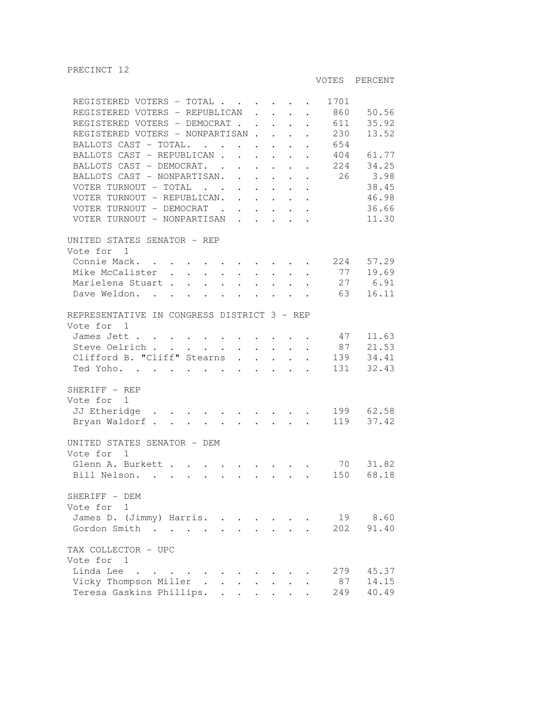VOTES PERCENT

| REGISTERED VOTERS - TOTAL                                                                                                                              |                             |                                                                                                                                                     | 1701 |           |
|--------------------------------------------------------------------------------------------------------------------------------------------------------|-----------------------------|-----------------------------------------------------------------------------------------------------------------------------------------------------|------|-----------|
| REGISTERED VOTERS - REPUBLICAN                                                                                                                         |                             |                                                                                                                                                     | 860  | 50.56     |
| REGISTERED VOTERS - DEMOCRAT                                                                                                                           |                             |                                                                                                                                                     | 611  | 35.92     |
| REGISTERED VOTERS - NONPARTISAN                                                                                                                        |                             |                                                                                                                                                     | 230  | 13.52     |
| BALLOTS CAST - TOTAL.                                                                                                                                  |                             |                                                                                                                                                     | 654  |           |
| BALLOTS CAST - REPUBLICAN.                                                                                                                             |                             | $\mathcal{L}^{\mathcal{A}}$ , $\mathcal{L}^{\mathcal{A}}$ , $\mathcal{L}^{\mathcal{A}}$ , $\mathcal{L}^{\mathcal{A}}$ , $\mathcal{L}^{\mathcal{A}}$ | 404  | 61.77     |
| BALLOTS CAST - DEMOCRAT.                                                                                                                               |                             |                                                                                                                                                     | 224  | 34.25     |
| BALLOTS CAST - NONPARTISAN.                                                                                                                            |                             |                                                                                                                                                     | 26   | 3.98      |
| VOTER TURNOUT - TOTAL $\cdot \cdot \cdot \cdot \cdot \cdot$                                                                                            |                             |                                                                                                                                                     |      | 38.45     |
| VOTER TURNOUT - REPUBLICAN.                                                                                                                            |                             | $\mathcal{A}=\mathcal{A}=\mathcal{A}=\mathcal{A}=\mathcal{A}$                                                                                       |      | 46.98     |
|                                                                                                                                                        |                             |                                                                                                                                                     |      | 36.66     |
| VOTER TURNOUT - DEMOCRAT<br>VOTER TURNOUT - NONPARTISAN                                                                                                |                             |                                                                                                                                                     |      | 11.30     |
|                                                                                                                                                        |                             |                                                                                                                                                     |      |           |
| UNITED STATES SENATOR - REP                                                                                                                            |                             |                                                                                                                                                     |      |           |
| Vote for 1                                                                                                                                             |                             |                                                                                                                                                     |      |           |
| Connie Mack.<br>. The signal contribution of the signal contribution $\mathcal{L}_\text{c}$                                                            |                             |                                                                                                                                                     | 224  | 57.29     |
|                                                                                                                                                        | $\mathcal{L}_{\mathcal{A}}$ | $\sim 10^{-10}$<br>$\ddot{\phantom{0}}$                                                                                                             | 77   | 19.69     |
| Mike McCalister<br>Marielena Stuart                                                                                                                    | $\sim$                      | $\mathbf{r}$ . The set of $\mathbf{r}$                                                                                                              |      | 27 6.91   |
|                                                                                                                                                        |                             |                                                                                                                                                     | 63   | 16.11     |
| Dave Weldon.                                                                                                                                           |                             |                                                                                                                                                     |      |           |
| REPRESENTATIVE IN CONGRESS DISTRICT 3 - REP                                                                                                            |                             |                                                                                                                                                     |      |           |
| Vote for 1                                                                                                                                             |                             |                                                                                                                                                     |      |           |
| James Jett                                                                                                                                             |                             |                                                                                                                                                     | 47   | 11.63     |
|                                                                                                                                                        |                             |                                                                                                                                                     | 87   | 21.53     |
| Steve Oelrich<br>$\mathbf{r}$ , $\mathbf{r}$ , $\mathbf{r}$ , $\mathbf{r}$ , $\mathbf{r}$ , $\mathbf{r}$ , $\mathbf{r}$<br>Clifford B. "Cliff" Stearns |                             | $\ddot{\phantom{0}}$                                                                                                                                |      |           |
|                                                                                                                                                        |                             |                                                                                                                                                     | 139  | 34.41     |
| Ted Yoho.                                                                                                                                              |                             |                                                                                                                                                     | 131  | 32.43     |
| SHERIFF - REP                                                                                                                                          |                             |                                                                                                                                                     |      |           |
|                                                                                                                                                        |                             |                                                                                                                                                     |      |           |
| Vote for<br>1                                                                                                                                          |                             |                                                                                                                                                     |      |           |
| JJ Etheridge<br>. The simulation of the simulation of the simulation of $\mathcal{O}(1)$                                                               |                             |                                                                                                                                                     |      | 199 62.58 |
| Bryan Waldorf                                                                                                                                          |                             |                                                                                                                                                     | 119  | 37.42     |
| UNITED STATES SENATOR - DEM                                                                                                                            |                             |                                                                                                                                                     |      |           |
| Vote for<br>1                                                                                                                                          |                             |                                                                                                                                                     |      |           |
| Glenn A. Burkett                                                                                                                                       |                             |                                                                                                                                                     | 70   | 31.82     |
|                                                                                                                                                        |                             |                                                                                                                                                     |      | 68.18     |
| Bill Nelson.<br>$\mathbf{r}$ , and $\mathbf{r}$ , and $\mathbf{r}$ , and $\mathbf{r}$ , and $\mathbf{r}$ , and $\mathbf{r}$                            |                             |                                                                                                                                                     | 150  |           |
| SHERIFF - DEM                                                                                                                                          |                             |                                                                                                                                                     |      |           |
| Vote for 1                                                                                                                                             |                             |                                                                                                                                                     |      |           |
| James D. (Jimmy) Harris.                                                                                                                               |                             |                                                                                                                                                     |      | 19 8.60   |
|                                                                                                                                                        |                             |                                                                                                                                                     |      |           |
| Gordon Smith<br>$\sim$ $\sim$ $\sim$ $\sim$ $\sim$ $\sim$                                                                                              |                             |                                                                                                                                                     | 202  | 91.40     |
| TAX COLLECTOR - UPC                                                                                                                                    |                             |                                                                                                                                                     |      |           |
| Vote for 1                                                                                                                                             |                             |                                                                                                                                                     |      |           |
| Linda Lee<br>$\mathcal{A}=\mathcal{A}=\mathcal{A}=\mathcal{A}=\mathcal{A}$ .                                                                           |                             |                                                                                                                                                     | 279  | 45.37     |
| Vicky Thompson Miller.                                                                                                                                 |                             |                                                                                                                                                     | 87   | 14.15     |
| Teresa Gaskins Phillips.                                                                                                                               |                             |                                                                                                                                                     | 249  | 40.49     |
|                                                                                                                                                        |                             |                                                                                                                                                     |      |           |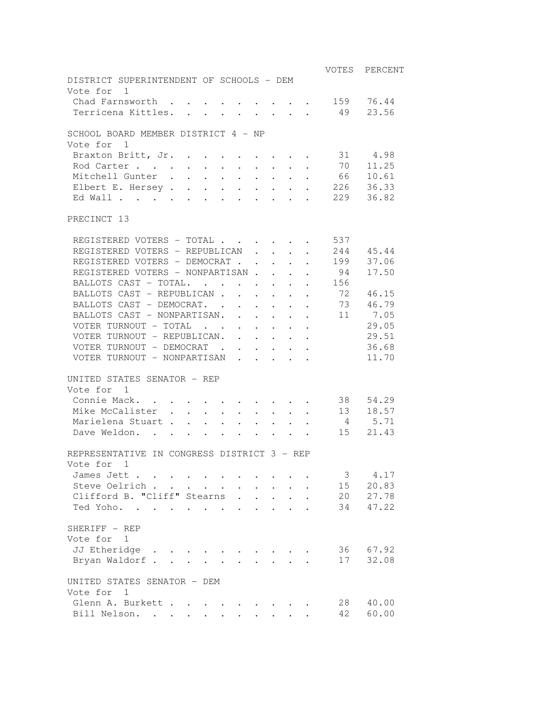|                                                                                                          |  |  |  |  | VOTES | PERCENT   |
|----------------------------------------------------------------------------------------------------------|--|--|--|--|-------|-----------|
| DISTRICT SUPERINTENDENT OF SCHOOLS - DEM                                                                 |  |  |  |  |       |           |
| Vote for 1                                                                                               |  |  |  |  |       |           |
| Chad Farnsworth                                                                                          |  |  |  |  |       | 159 76.44 |
| Terricena Kittles.                                                                                       |  |  |  |  | 49    | 23.56     |
| SCHOOL BOARD MEMBER DISTRICT 4 - NP                                                                      |  |  |  |  |       |           |
| Vote for 1                                                                                               |  |  |  |  |       |           |
| Braxton Britt, Jr.                                                                                       |  |  |  |  |       | 31 4.98   |
| Rod Carter                                                                                               |  |  |  |  | 70    | 11.25     |
| Mitchell Gunter                                                                                          |  |  |  |  | 66    | 10.61     |
| Elbert E. Hersey                                                                                         |  |  |  |  |       | 226 36.33 |
| Ed Wall                                                                                                  |  |  |  |  |       | 229 36.82 |
| PRECINCT 13                                                                                              |  |  |  |  |       |           |
| REGISTERED VOTERS - TOTAL                                                                                |  |  |  |  | 537   |           |
| REGISTERED VOTERS - REPUBLICAN                                                                           |  |  |  |  |       | 244 45.44 |
| REGISTERED VOTERS - DEMOCRAT                                                                             |  |  |  |  | 199   | 37.06     |
| REGISTERED VOTERS - NONPARTISAN                                                                          |  |  |  |  | 94    | 17.50     |
| BALLOTS CAST - TOTAL.                                                                                    |  |  |  |  | 156   |           |
| BALLOTS CAST - REPUBLICAN                                                                                |  |  |  |  | 72    | 46.15     |
| BALLOTS CAST - DEMOCRAT.                                                                                 |  |  |  |  |       | 73 46.79  |
| BALLOTS CAST - NONPARTISAN.                                                                              |  |  |  |  | 11    | 7.05      |
| VOTER TURNOUT - TOTAL                                                                                    |  |  |  |  |       | 29.05     |
| VOTER TURNOUT - REPUBLICAN.                                                                              |  |  |  |  |       | 29.51     |
| VOTER TURNOUT - DEMOCRAT                                                                                 |  |  |  |  |       | 36.68     |
| VOTER TURNOUT - NONPARTISAN                                                                              |  |  |  |  |       | 11.70     |
| UNITED STATES SENATOR - REP                                                                              |  |  |  |  |       |           |
| Vote for 1                                                                                               |  |  |  |  |       |           |
| Connie Mack.                                                                                             |  |  |  |  | 38    | 54.29     |
| Mike McCalister                                                                                          |  |  |  |  | 13    | 18.57     |
| Marielena Stuart                                                                                         |  |  |  |  | 4     | 5.71      |
| Dave Weldon.<br>$\mathbf{r}$ , and $\mathbf{r}$ , and $\mathbf{r}$ , and $\mathbf{r}$ , and $\mathbf{r}$ |  |  |  |  | 15    | 21.43     |
| REPRESENTATIVE IN CONGRESS DISTRICT 3 - REP                                                              |  |  |  |  |       |           |
| Vote for<br>1                                                                                            |  |  |  |  |       |           |
| James Jett                                                                                               |  |  |  |  | 3     | 4.17      |
| Steve Oelrich                                                                                            |  |  |  |  | 15    | 20.83     |
| Clifford B. "Cliff" Stearns.                                                                             |  |  |  |  | 20    | 27.78     |
| Ted Yoho.                                                                                                |  |  |  |  |       | 34 47.22  |
| SHERIFF - REP                                                                                            |  |  |  |  |       |           |
| Vote for 1                                                                                               |  |  |  |  |       |           |
| JJ Etheridge                                                                                             |  |  |  |  |       | 36 67.92  |
| Bryan Waldorf.                                                                                           |  |  |  |  | 17    | 32.08     |
| UNITED STATES SENATOR - DEM                                                                              |  |  |  |  |       |           |
| Vote for 1                                                                                               |  |  |  |  |       |           |
| Glenn A. Burkett                                                                                         |  |  |  |  | 28    | 40.00     |
| Bill Nelson.                                                                                             |  |  |  |  | 42    | 60.00     |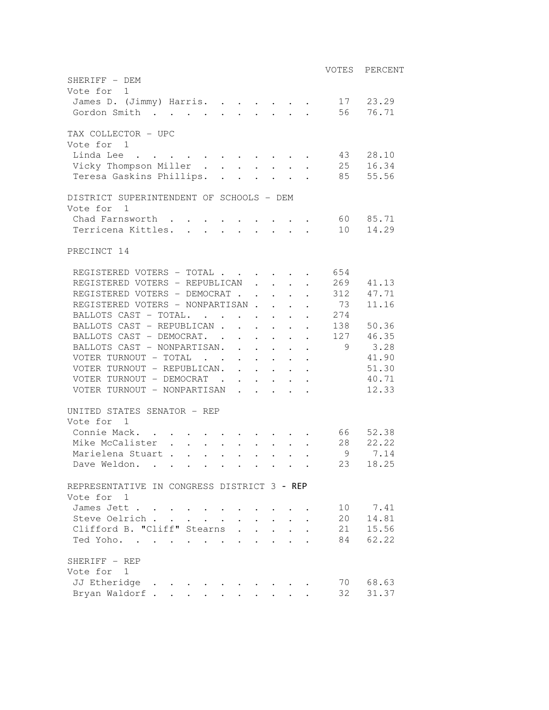VOTES PERCENT SHERIFF - DEM Vote for 1 James D. (Jimmy) Harris. . . . . . . 17 23.29 Gordon Smith . . . . . . . . . . 56 76.71 TAX COLLECTOR - UPC Vote for 1 Linda Lee . . . . . . . . . . . . 43 28.10 Vicky Thompson Miller . . . . . . . 25 16.34 Teresa Gaskins Phillips. . . . . . . 85 55.56 DISTRICT SUPERINTENDENT OF SCHOOLS - DEM Vote for 1 Chad Farnsworth . . . . . . . . . . 60 85.71 Terricena Kittles. . . . . . . . 10 14.29 PRECINCT 14 REGISTERED VOTERS - TOTAL . . . . . . 654 REGISTERED VOTERS - REPUBLICAN . . . . 269 41.13 REGISTERED VOTERS - DEMOCRAT . . . . . 312 47.71 REGISTERED VOTERS - NONPARTISAN . . . . 73 11.16 BALLOTS CAST - TOTAL. . . . . . . . 274 BALLOTS CAST - REPUBLICAN . . . . . . 138 50.36 BALLOTS CAST - DEMOCRAT. . . . . . 127 46.35 BALLOTS CAST - NONPARTISAN. . . . . . 9 3.28 VOTER TURNOUT - TOTAL . . . . . . . 41.90 VOTER TURNOUT - REPUBLICAN. . . . . . 51.30 VOTER TURNOUT - DEMOCRAT . . . . . . 40.71 VOTER TURNOUT - NONPARTISAN . . . . . 12.33 UNITED STATES SENATOR - REP Vote for 1 Connie Mack. . . . . . . . . . . . 66 52.38 Mike McCalister . . . . . . . . . 28 22.22 Marielena Stuart . . . . . . . . . . 9 7.14 Dave Weldon. . . . . . . . . . . 23 18.25 REPRESENTATIVE IN CONGRESS DISTRICT 3 - REP Vote for 1 James Jett . . . . . . . . . . . . 10 7.41 Steve Oelrich . . . . . . . . . . 20 14.81 Clifford B. "Cliff" Stearns . . . . . 21 15.56 Ted Yoho. . . . . . . . . . . . 84 62.22 SHERIFF - REP Vote for 1 JJ Etheridge . . . . . . . . . . . 70 68.63 Bryan Waldorf . . . . . . . . . . 32 31.37